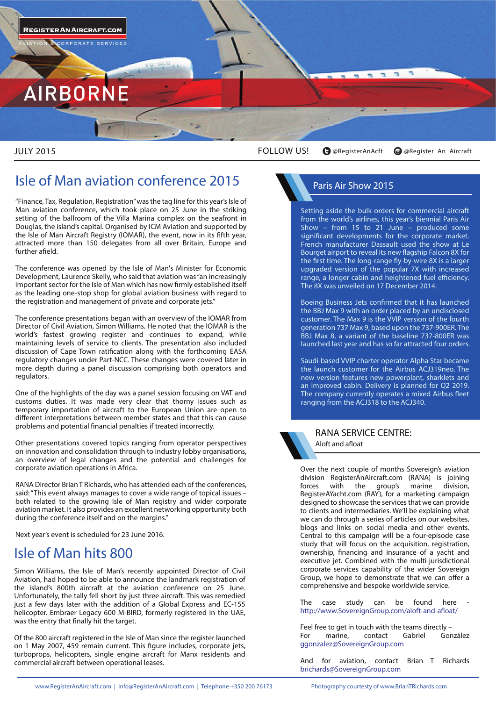

JULY 2015

FOLLOW US! **@RegisterAnAcft @Register\_An\_Aircraft**

## **Isle of Man aviation conference 2015** Paris Air Show 2015

"Finance, Tax, Regulation, Registration" was the tag line for this year's Isle of Man aviation conference, which took place on 25 June in the striking setting of the ballroom of the Villa Marina complex on the seafront in Douglas, the island's capital. Organised by ICM Aviation and supported by the Isle of Man Aircraft Registry (IOMAR), the event, now in its fifth year, attracted more than 150 delegates from all over Britain, Europe and further afield.

The conference was opened by the Isle of Man's Minister for Economic Development, Laurence Skelly, who said that aviation was "an increasingly important sector for the Isle of Man which has now firmly established itself as the leading one-stop shop for global aviation business with regard to the registration and management of private and corporate jets."

The conference presentations began with an overview of the IOMAR from Director of Civil Aviation, Simon Williams. He noted that the IOMAR is the world's fastest growing register and continues to expand, while maintaining levels of service to clients. The presentation also included discussion of Cape Town ratification along with the forthcoming EASA regulatory changes under Part-NCC. These changes were covered later in more depth during a panel discussion comprising both operators and regulators.

One of the highlights of the day was a panel session focusing on VAT and customs duties. It was made very clear that thorny issues such as temporary importation of aircraft to the European Union are open to different interpretations between member states and that this can cause problems and potential financial penalties if treated incorrectly.

Other presentations covered topics ranging from operator perspectives on innovation and consolidation through to industry lobby organisations, an overview of legal changes and the potential and challenges for corporate aviation operations in Africa.

RANA Director Brian T Richards, who has attended each of the conferences, said: "This event always manages to cover a wide range of topical issues – both related to the growing Isle of Man registry and wider corporate aviation market. It also provides an excellent networking opportunity both during the conference itself and on the margins."

Next year's event is scheduled for 23 June 2016.

## **Isle of Man hits 800**

Simon Williams, the Isle of Man's recently appointed Director of Civil Aviation, had hoped to be able to announce the landmark registration of the island's 800th aircraft at the aviation conference on 25 June. Unfortunately, the tally fell short by just three aircraft. This was remedied just a few days later with the addition of a Global Express and EC-155 helicopter. Embraer Legacy 600 M-BIRD, formerly registered in the UAE, was the entry that finally hit the target.

Of the 800 aircraft registered in the Isle of Man since the register launched on 1 May 2007, 459 remain current. This figure includes, corporate jets, turboprops, helicopters, single engine aircraft for Manx residents and commercial aircraft between operational leases.

Setting aside the bulk orders for commercial aircraft from the world's airlines, this year's biennial Paris Air Show – from 15 to 21 June – produced some significant developments for the corporate market. French manufacturer Dassault used the show at Le Bourget airport to reveal its new flagship Falcon 8X for the first time. The long-range fly-by-wire 8X is a larger upgraded version of the popular 7X with increased range, a longer cabin and heightened fuel efficiency. The 8X was unveiled on 17 December 2014.

Boeing Business Jets confirmed that it has launched the BBJ Max 9 with an order placed by an undisclosed customer. The Max 9 is the VVIP version of the fourth generation 737 Max 9, based upon the 737-900ER. The BBJ Max 8, a variant of the baseline 737-800ER was launched last year and has so far attracted four orders.

Saudi-based VVIP charter operator Alpha Star became the launch customer for the Airbus ACJ319neo. The new version features new powerplant, sharklets and an improved cabin. Delivery is planned for Q2 2019. The company currently operates a mixed Airbus fleet ranging from the ACJ318 to the ACJ340.



### **RANA SERVICE CENTRE: Aloft and afloat**

Over the next couple of months Sovereign's aviation division RegisterAnAircraft.com (RANA) is joining<br>forces with the group's marine division, group's marine division, RegisterAYacht.com (RAY), for a marketing campaign designed to showcase the services that we can provide to clients and intermediaries. We'll be explaining what we can do through a series of articles on our websites, blogs and links on social media and other events. Central to this campaign will be a four-episode case study that will focus on the acquisition, registration, ownership, financing and insurance of a yacht and executive jet. Combined with the multi-jurisdictional corporate services capability of the wider Sovereign Group, we hope to demonstrate that we can offer a comprehensive and bespoke worldwide service.

The case study can be found here http://www.SovereignGroup.com/aloft-and-afloat/

Feel free to get in touch with the teams directly –<br>For marine. contact Gabriel González For marine, contact ggonzalez@SovereignGroup.com

And for aviation, contact Brian T Richards brichards@SovereignGroup.com